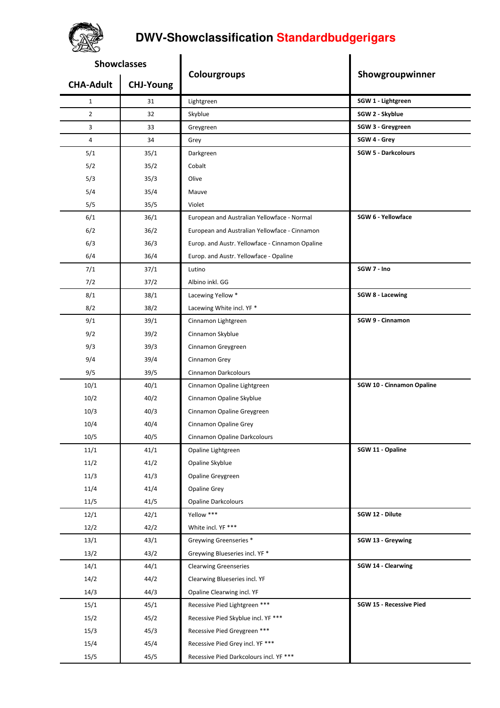## **DWV-Showclassification Standardbudgerigars**

| acco               |                  |                                                 |                                |
|--------------------|------------------|-------------------------------------------------|--------------------------------|
| <b>Showclasses</b> |                  |                                                 |                                |
| <b>CHA-Adult</b>   | <b>CHJ-Young</b> | Colourgroups                                    | Showgroupwinner                |
| $\mathbf{1}$       | 31               | Lightgreen                                      | SGW 1 - Lightgreen             |
| $\overline{2}$     | 32               | Skyblue                                         | SGW 2 - Skyblue                |
| 3                  | 33               | Greygreen                                       | SGW 3 - Greygreen              |
| $\overline{4}$     | 34               | Grey                                            | SGW 4 - Grey                   |
| 5/1                | 35/1             | Darkgreen                                       | <b>SGW 5 - Darkcolours</b>     |
| 5/2                | 35/2             | Cobalt                                          |                                |
| 5/3                | 35/3             | Olive                                           |                                |
| 5/4                | 35/4             | Mauve                                           |                                |
| 5/5                | 35/5             | Violet                                          |                                |
| 6/1                | 36/1             | European and Australian Yellowface - Normal     | SGW 6 - Yellowface             |
| 6/2                | 36/2             | European and Australian Yellowface - Cinnamon   |                                |
| 6/3                | 36/3             | Europ. and Austr. Yellowface - Cinnamon Opaline |                                |
| 6/4                | 36/4             | Europ. and Austr. Yellowface - Opaline          |                                |
| 7/1                | 37/1             | Lutino                                          | SGW 7 - Ino                    |
| 7/2                | 37/2             | Albino inkl. GG                                 |                                |
| 8/1                | 38/1             | Lacewing Yellow *                               | <b>SGW 8 - Lacewing</b>        |
| 8/2                | 38/2             | Lacewing White incl. YF *                       |                                |
| 9/1                | 39/1             | Cinnamon Lightgreen                             | SGW 9 - Cinnamon               |
| 9/2                | 39/2             | Cinnamon Skyblue                                |                                |
| 9/3                | 39/3             | Cinnamon Greygreen                              |                                |
| 9/4                | 39/4             | Cinnamon Grey                                   |                                |
| 9/5                | 39/5             | <b>Cinnamon Darkcolours</b>                     |                                |
| 10/1               | 40/1             | Cinnamon Opaline Lightgreen                     | SGW 10 - Cinnamon Opaline      |
| 10/2               | 40/2             | Cinnamon Opaline Skyblue                        |                                |
| 10/3               | 40/3             | Cinnamon Opaline Greygreen                      |                                |
| 10/4               | 40/4             | Cinnamon Opaline Grey                           |                                |
| 10/5               | 40/5             | Cinnamon Opaline Darkcolours                    |                                |
| 11/1               | 41/1             | Opaline Lightgreen                              | SGW 11 - Opaline               |
| 11/2               | 41/2             | Opaline Skyblue                                 |                                |
| 11/3               | 41/3             | Opaline Greygreen                               |                                |
| 11/4               | 41/4             | Opaline Grey                                    |                                |
| 11/5               | 41/5             | <b>Opaline Darkcolours</b>                      |                                |
| 12/1               | 42/1             | Yellow ***                                      | SGW 12 - Dilute                |
| 12/2               | 42/2             | White incl. YF ***                              |                                |
| 13/1               | 43/1             | Greywing Greenseries *                          | SGW 13 - Greywing              |
| 13/2               | 43/2             | Greywing Blueseries incl. YF *                  |                                |
| 14/1               | 44/1             | <b>Clearwing Greenseries</b>                    | SGW 14 - Clearwing             |
| 14/2               | 44/2             | Clearwing Blueseries incl. YF                   |                                |
| 14/3               | 44/3             | Opaline Clearwing incl. YF                      |                                |
| 15/1               | 45/1             | Recessive Pied Lightgreen ***                   | <b>SGW 15 - Recessive Pied</b> |
| 15/2               | 45/2             | Recessive Pied Skyblue incl. YF ***             |                                |
| 15/3               | 45/3             | Recessive Pied Greygreen ***                    |                                |
| 15/4               | 45/4             | Recessive Pied Grey incl. YF ***                |                                |
| 15/5               | 45/5             | Recessive Pied Darkcolours incl. YF ***         |                                |